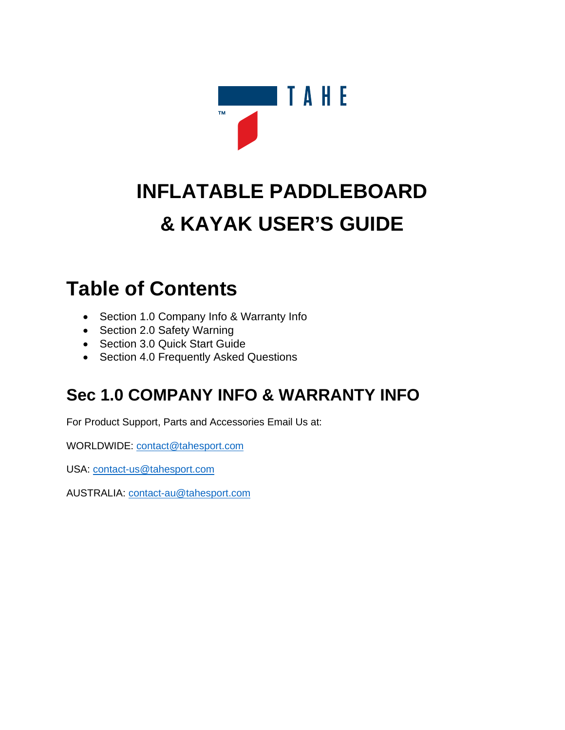

# **INFLATABLE PADDLEBOARD & KAYAK USER'S GUIDE**

### **Table of Contents**

- Section 1.0 Company Info & Warranty Info
- Section 2.0 Safety Warning
- Section 3.0 Quick Start Guide
- Section 4.0 Frequently Asked Questions

### **Sec 1.0 COMPANY INFO & WARRANTY INFO**

For Product Support, Parts and Accessories Email Us at:

WORLDWIDE: [contact@tahesport.com](mailto:contact@tahesport.com)

USA: [contact-us@tahesport.com](mailto:contact-us@tahesport.com)

AUSTRALIA: [contact-au@tahesport.com](mailto:contact-au@tahesport.com)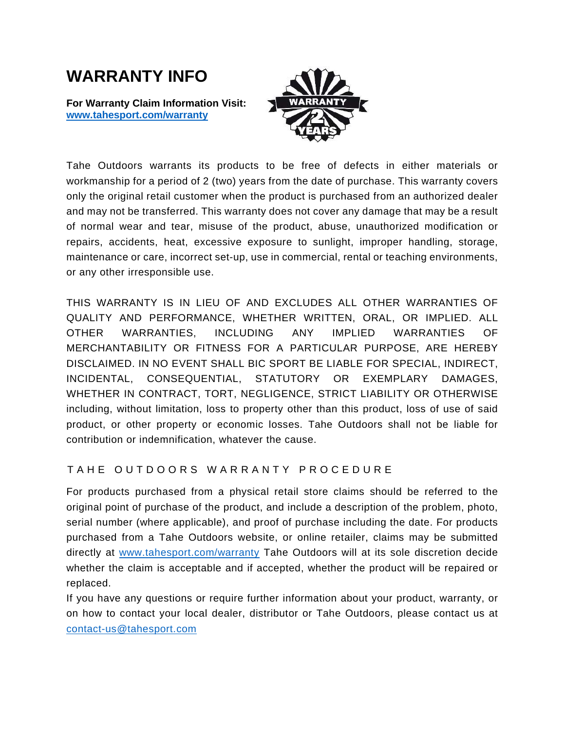### **WARRANTY INFO**

**For Warranty Claim Information Visit: [www.tahesport.com/warranty](http://www.tahesport.com/warranty)**



Tahe Outdoors warrants its products to be free of defects in either materials or workmanship for a period of 2 (two) years from the date of purchase. This warranty covers only the original retail customer when the product is purchased from an authorized dealer and may not be transferred. This warranty does not cover any damage that may be a result of normal wear and tear, misuse of the product, abuse, unauthorized modification or repairs, accidents, heat, excessive exposure to sunlight, improper handling, storage, maintenance or care, incorrect set-up, use in commercial, rental or teaching environments, or any other irresponsible use.

THIS WARRANTY IS IN LIEU OF AND EXCLUDES ALL OTHER WARRANTIES OF QUALITY AND PERFORMANCE, WHETHER WRITTEN, ORAL, OR IMPLIED. ALL OTHER WARRANTIES, INCLUDING ANY IMPLIED WARRANTIES OF MERCHANTABILITY OR FITNESS FOR A PARTICULAR PURPOSE, ARE HEREBY DISCLAIMED. IN NO EVENT SHALL BIC SPORT BE LIABLE FOR SPECIAL, INDIRECT, INCIDENTAL, CONSEQUENTIAL, STATUTORY OR EXEMPLARY DAMAGES, WHETHER IN CONTRACT, TORT, NEGLIGENCE, STRICT LIABILITY OR OTHERWISE including, without limitation, loss to property other than this product, loss of use of said product, or other property or economic losses. Tahe Outdoors shall not be liable for contribution or indemnification, whatever the cause.

#### TAHE OUT DOORS WARRANTY PROCEDURE

For products purchased from a physical retail store claims should be referred to the original point of purchase of the product, and include a description of the problem, photo, serial number (where applicable), and proof of purchase including the date. For products purchased from a Tahe Outdoors website, or online retailer, claims may be submitted directly at [www.tahesport.com/warranty](http://www.tahesport.com/warranty) Tahe Outdoors will at its sole discretion decide whether the claim is acceptable and if accepted, whether the product will be repaired or replaced.

If you have any questions or require further information about your product, warranty, or on how to contact your local dealer, distributor or Tahe Outdoors, please contact us at [contact-us@tahesport.com](mailto:contact-us@tahesport.com)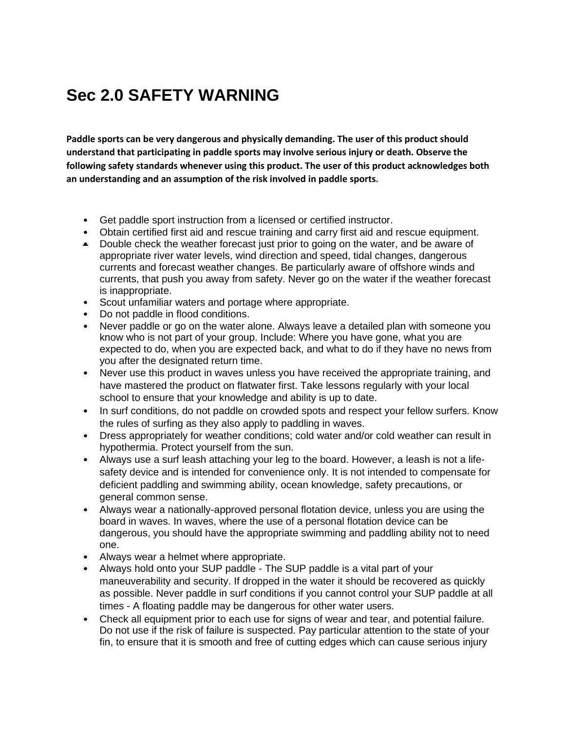### **Sec 2.0 SAFETY WARNING**

**Paddle sports can be very dangerous and physically demanding. The user of this product should understand that participating in paddle sports may involve serious injury or death. Observe the following safety standards whenever using this product. The user of this product acknowledges both an understanding and an assumption of the risk involved in paddle sports.**

- Get paddle sport instruction from a licensed or certified instructor.
- Obtain certified first aid and rescue training and carry first aid and rescue equipment.
- Double check the weather forecast just prior to going on the water, and be aware of appropriate river water levels, wind direction and speed, tidal changes, dangerous currents and forecast weather changes. Be particularly aware of offshore winds and currents, that push you away from safety. Never go on the water if the weather forecast is inappropriate.
- Scout unfamiliar waters and portage where appropriate.
- Do not paddle in flood conditions.
- Never paddle or go on the water alone. Always leave a detailed plan with someone you know who is not part of your group. Include: Where you have gone, what you are expected to do, when you are expected back, and what to do if they have no news from you after the designated return time.
- Never use this product in waves unless you have received the appropriate training, and have mastered the product on flatwater first. Take lessons regularly with your local school to ensure that your knowledge and ability is up to date.
- In surf conditions, do not paddle on crowded spots and respect your fellow surfers. Know the rules of surfing as they also apply to paddling in waves.
- Dress appropriately for weather conditions; cold water and/or cold weather can result in hypothermia. Protect yourself from the sun.
- Always use a surf leash attaching your leg to the board. However, a leash is not a lifesafety device and is intended for convenience only. It is not intended to compensate for deficient paddling and swimming ability, ocean knowledge, safety precautions, or general common sense.
- Always wear a nationally-approved personal flotation device, unless you are using the board in waves. In waves, where the use of a personal flotation device can be dangerous, you should have the appropriate swimming and paddling ability not to need one.
- Always wear a helmet where appropriate.
- Always hold onto your SUP paddle The SUP paddle is a vital part of your maneuverability and security. If dropped in the water it should be recovered as quickly as possible. Never paddle in surf conditions if you cannot control your SUP paddle at all times - A floating paddle may be dangerous for other water users.
- Check all equipment prior to each use for signs of wear and tear, and potential failure. Do not use if the risk of failure is suspected. Pay particular attention to the state of your fin, to ensure that it is smooth and free of cutting edges which can cause serious injury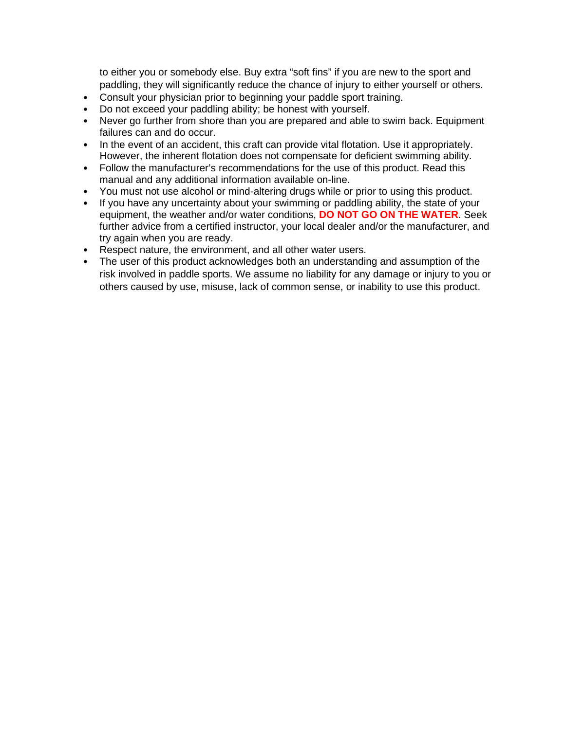to either you or somebody else. Buy extra "soft fins" if you are new to the sport and paddling, they will significantly reduce the chance of injury to either yourself or others.

- Consult your physician prior to beginning your paddle sport training.
- Do not exceed your paddling ability; be honest with yourself.
- Never go further from shore than you are prepared and able to swim back. Equipment failures can and do occur.
- In the event of an accident, this craft can provide vital flotation. Use it appropriately. However, the inherent flotation does not compensate for deficient swimming ability.
- Follow the manufacturer's recommendations for the use of this product. Read this manual and any additional information available on-line.
- You must not use alcohol or mind-altering drugs while or prior to using this product.
- If you have any uncertainty about your swimming or paddling ability, the state of your equipment, the weather and/or water conditions, **DO NOT GO ON THE WATER**. Seek further advice from a certified instructor, your local dealer and/or the manufacturer, and try again when you are ready.
- Respect nature, the environment, and all other water users.
- The user of this product acknowledges both an understanding and assumption of the risk involved in paddle sports. We assume no liability for any damage or injury to you or others caused by use, misuse, lack of common sense, or inability to use this product.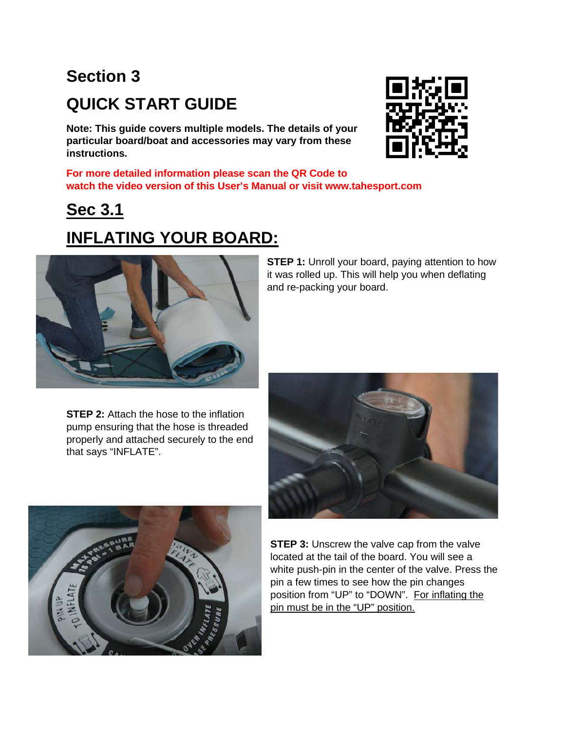## **Section 3 QUICK START GUIDE**

**Note: This guide covers multiple models. The details of your particular board/boat and accessories may vary from these instructions.** 

**For more detailed information please scan the QR Code to watch the video version of this User's Manual or visit www.tahesport.com**

### **Sec 3.1**

### **INFLATING YOUR BOARD:**

**STEP 1:** Unroll your board, paying attention to how it was rolled up. This will help you when deflating and re-packing your board.

**STEP 2:** Attach the hose to the inflation pump ensuring that the hose is threaded properly and attached securely to the end that says "INFLATE".





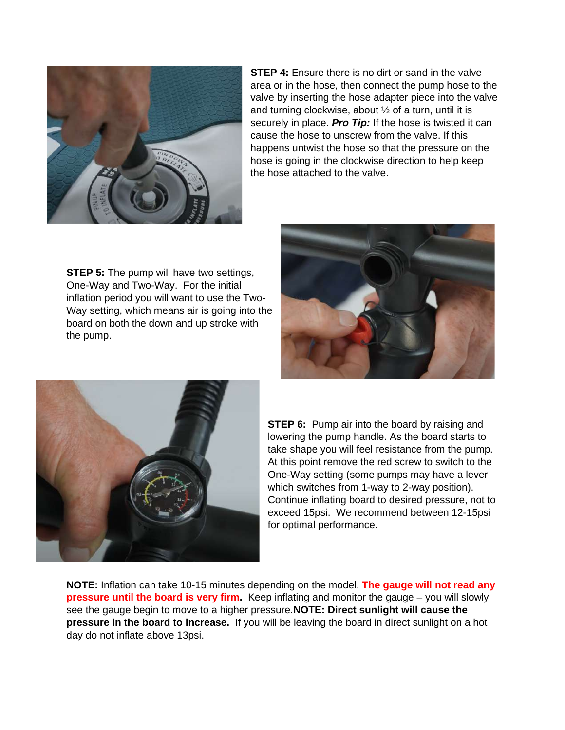

**STEP 4:** Ensure there is no dirt or sand in the valve area or in the hose, then connect the pump hose to the valve by inserting the hose adapter piece into the valve and turning clockwise, about ½ of a turn, until it is securely in place. *Pro Tip:* If the hose is twisted it can cause the hose to unscrew from the valve. If this happens untwist the hose so that the pressure on the hose is going in the clockwise direction to help keep the hose attached to the valve.

**STEP 5:** The pump will have two settings, One-Way and Two-Way. For the initial inflation period you will want to use the Two-Way setting, which means air is going into the board on both the down and up stroke with the pump.





**STEP 6:** Pump air into the board by raising and lowering the pump handle. As the board starts to take shape you will feel resistance from the pump. At this point remove the red screw to switch to the One-Way setting (some pumps may have a lever which switches from 1-way to 2-way position). Continue inflating board to desired pressure, not to exceed 15psi. We recommend between 12-15psi for optimal performance.

**NOTE:** Inflation can take 10-15 minutes depending on the model. **The gauge will not read any pressure until the board is very firm.** Keep inflating and monitor the gauge – you will slowly see the gauge begin to move to a higher pressure.**NOTE: Direct sunlight will cause the pressure in the board to increase.** If you will be leaving the board in direct sunlight on a hot day do not inflate above 13psi.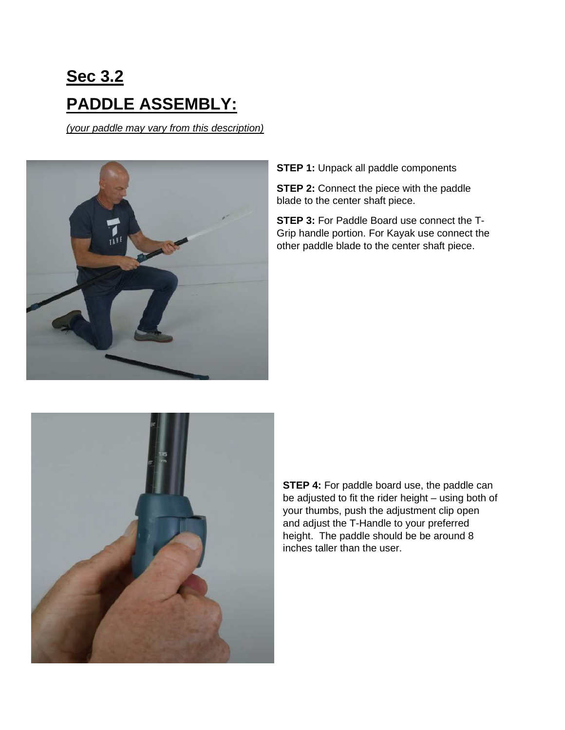## **Sec 3.2 PADDLE ASSEMBLY:**

*(your paddle may vary from this description)*



**STEP 1:** Unpack all paddle components

**STEP 2:** Connect the piece with the paddle blade to the center shaft piece.

**STEP 3:** For Paddle Board use connect the T-Grip handle portion. For Kayak use connect the other paddle blade to the center shaft piece.



**STEP 4:** For paddle board use, the paddle can be adjusted to fit the rider height – using both of your thumbs, push the adjustment clip open and adjust the T-Handle to your preferred height. The paddle should be be around 8 inches taller than the user.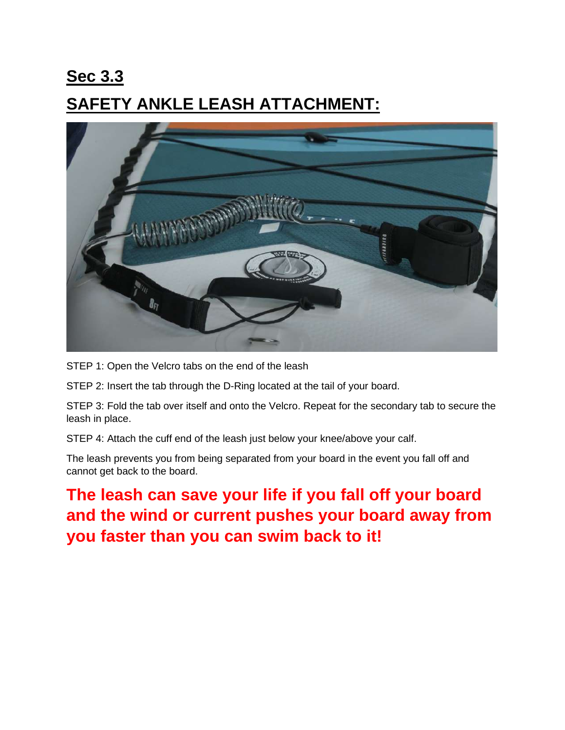### **Sec 3.3 SAFETY ANKLE LEASH ATTACHMENT:**



STEP 1: Open the Velcro tabs on the end of the leash

STEP 2: Insert the tab through the D-Ring located at the tail of your board.

STEP 3: Fold the tab over itself and onto the Velcro. Repeat for the secondary tab to secure the leash in place.

STEP 4: Attach the cuff end of the leash just below your knee/above your calf.

The leash prevents you from being separated from your board in the event you fall off and cannot get back to the board.

**The leash can save your life if you fall off your board and the wind or current pushes your board away from you faster than you can swim back to it!**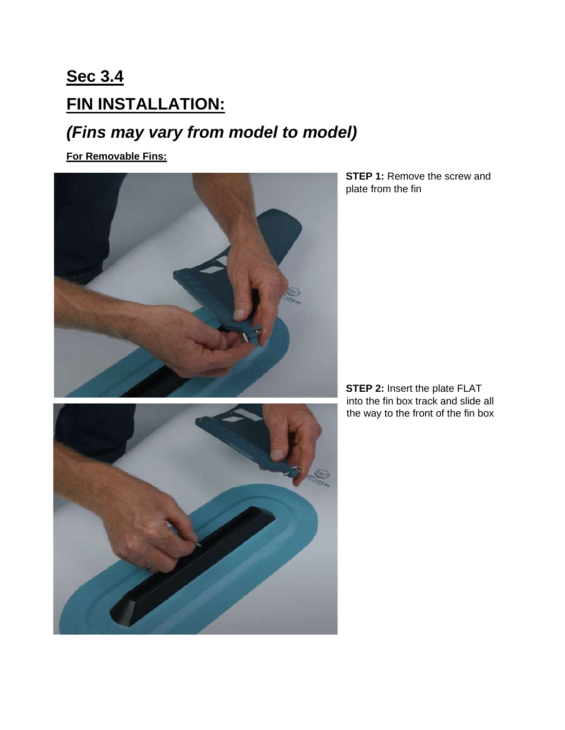## **Sec 3.4 FIN INSTALLATION:**

### *(Fins may vary from model to model)*

**For Removable Fins:** 



**STEP 1: Remove the screw and** plate from the fin



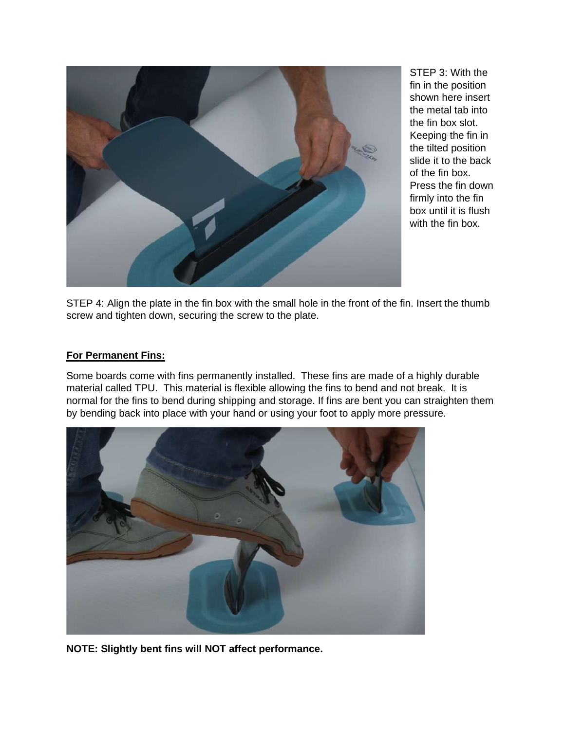

STEP 3: With the fin in the position shown here insert the metal tab into the fin box slot. Keeping the fin in the tilted position slide it to the back of the fin box. Press the fin down firmly into the fin box until it is flush with the fin box.

STEP 4: Align the plate in the fin box with the small hole in the front of the fin. Insert the thumb screw and tighten down, securing the screw to the plate.

#### **For Permanent Fins:**

Some boards come with fins permanently installed. These fins are made of a highly durable material called TPU. This material is flexible allowing the fins to bend and not break. It is normal for the fins to bend during shipping and storage. If fins are bent you can straighten them by bending back into place with your hand or using your foot to apply more pressure.



**NOTE: Slightly bent fins will NOT affect performance.**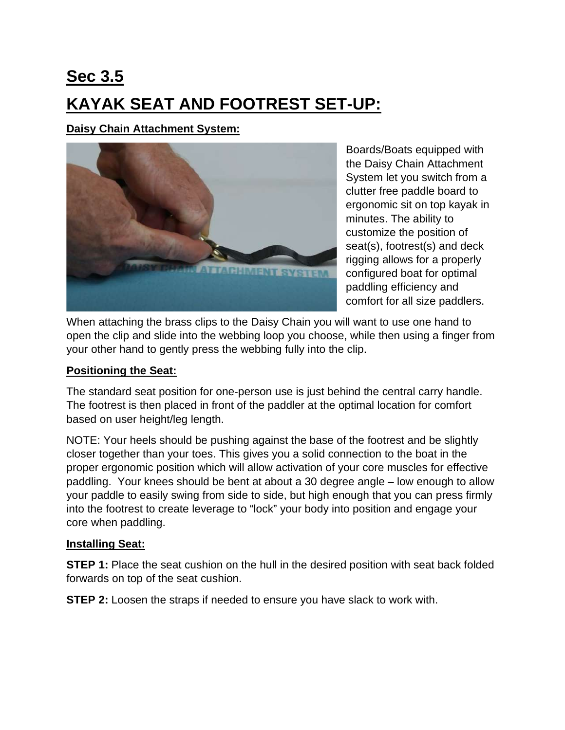**Sec 3.5 KAYAK SEAT AND FOOTREST SET-UP:** 

**Daisy Chain Attachment System:**



Boards/Boats equipped with the Daisy Chain Attachment System let you switch from a clutter free paddle board to ergonomic sit on top kayak in minutes. The ability to customize the position of seat(s), footrest(s) and deck rigging allows for a properly configured boat for optimal paddling efficiency and comfort for all size paddlers.

When attaching the brass clips to the Daisy Chain you will want to use one hand to open the clip and slide into the webbing loop you choose, while then using a finger from your other hand to gently press the webbing fully into the clip.

#### **Positioning the Seat:**

The standard seat position for one-person use is just behind the central carry handle. The footrest is then placed in front of the paddler at the optimal location for comfort based on user height/leg length.

NOTE: Your heels should be pushing against the base of the footrest and be slightly closer together than your toes. This gives you a solid connection to the boat in the proper ergonomic position which will allow activation of your core muscles for effective paddling. Your knees should be bent at about a 30 degree angle – low enough to allow your paddle to easily swing from side to side, but high enough that you can press firmly into the footrest to create leverage to "lock" your body into position and engage your core when paddling.

#### **Installing Seat:**

**STEP 1:** Place the seat cushion on the hull in the desired position with seat back folded forwards on top of the seat cushion.

**STEP 2:** Loosen the straps if needed to ensure you have slack to work with.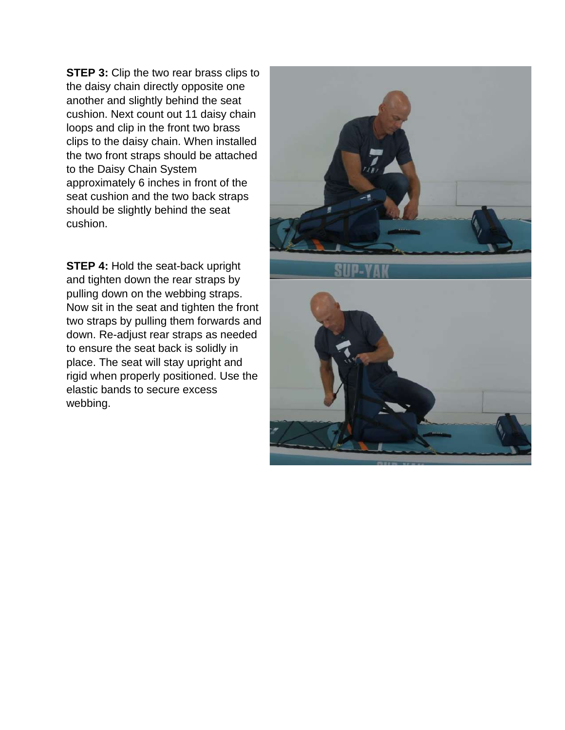**STEP 3:** Clip the two rear brass clips to the daisy chain directly opposite one another and slightly behind the seat cushion. Next count out 11 daisy chain loops and clip in the front two brass clips to the daisy chain. When installed the two front straps should be attached to the Daisy Chain System approximately 6 inches in front of the seat cushion and the two back straps should be slightly behind the seat cushion.

**STEP 4: Hold the seat-back upright** and tighten down the rear straps by pulling down on the webbing straps. Now sit in the seat and tighten the front two straps by pulling them forwards and down. Re-adjust rear straps as needed to ensure the seat back is solidly in place. The seat will stay upright and rigid when properly positioned. Use the elastic bands to secure excess webbing.



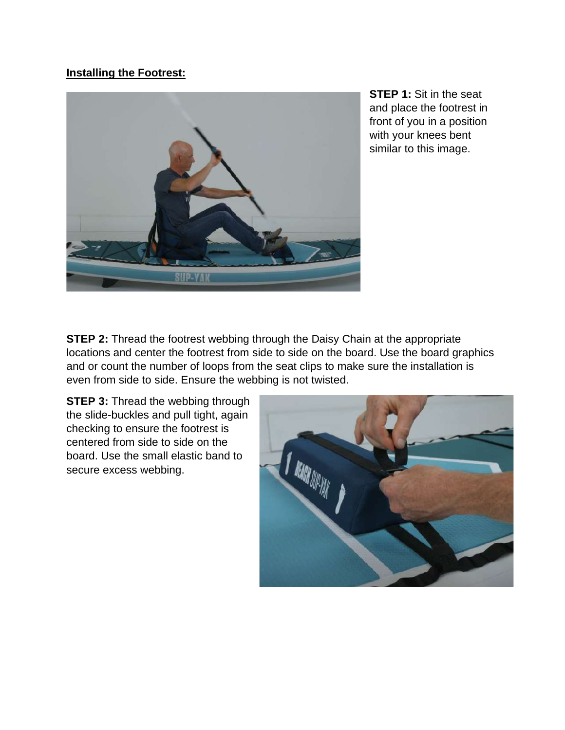#### **Installing the Footrest:**



**STEP 1:** Sit in the seat and place the footrest in front of you in a position with your knees bent similar to this image.

**STEP 2:** Thread the footrest webbing through the Daisy Chain at the appropriate locations and center the footrest from side to side on the board. Use the board graphics and or count the number of loops from the seat clips to make sure the installation is even from side to side. Ensure the webbing is not twisted.

**STEP 3: Thread the webbing through** the slide-buckles and pull tight, again checking to ensure the footrest is centered from side to side on the board. Use the small elastic band to secure excess webbing.

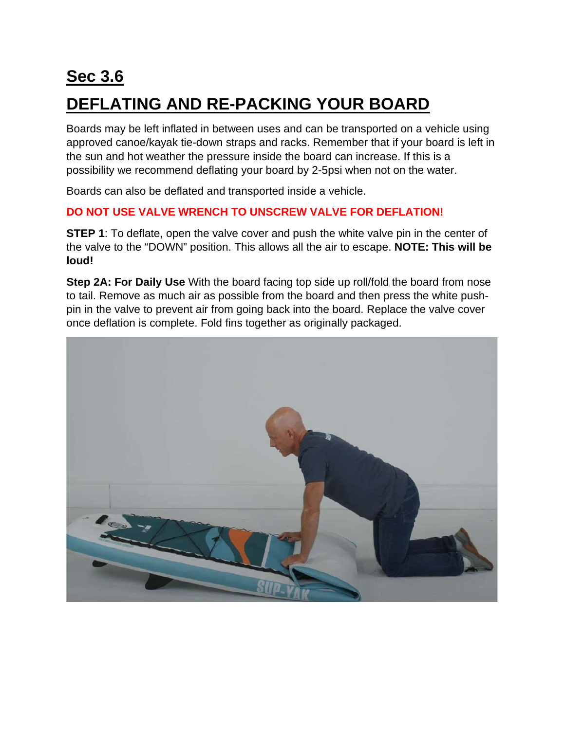## **Sec 3.6 DEFLATING AND RE-PACKING YOUR BOARD**

Boards may be left inflated in between uses and can be transported on a vehicle using approved canoe/kayak tie-down straps and racks. Remember that if your board is left in the sun and hot weather the pressure inside the board can increase. If this is a possibility we recommend deflating your board by 2-5psi when not on the water.

Boards can also be deflated and transported inside a vehicle.

#### **DO NOT USE VALVE WRENCH TO UNSCREW VALVE FOR DEFLATION!**

**STEP 1**: To deflate, open the valve cover and push the white valve pin in the center of the valve to the "DOWN" position. This allows all the air to escape. **NOTE: This will be loud!**

**Step 2A: For Daily Use** With the board facing top side up roll/fold the board from nose to tail. Remove as much air as possible from the board and then press the white pushpin in the valve to prevent air from going back into the board. Replace the valve cover once deflation is complete. Fold fins together as originally packaged.

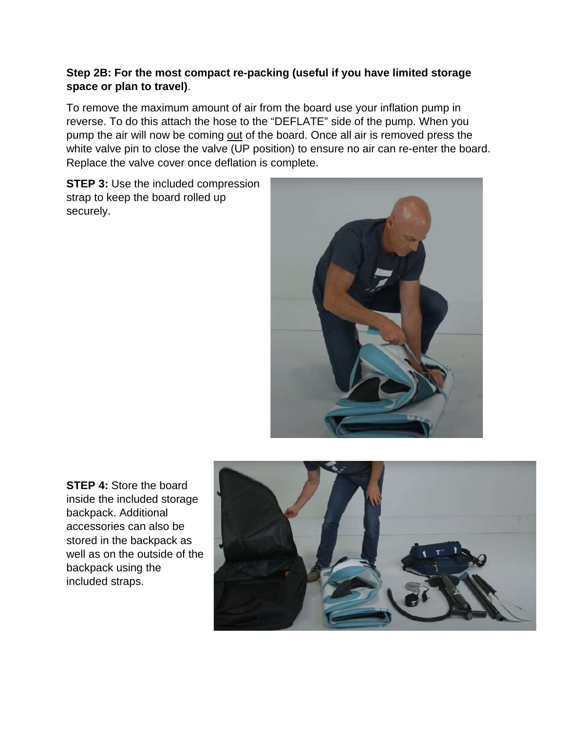#### **Step 2B: For the most compact re-packing (useful if you have limited storage space or plan to travel)**.

To remove the maximum amount of air from the board use your inflation pump in reverse. To do this attach the hose to the "DEFLATE" side of the pump. When you pump the air will now be coming out of the board. Once all air is removed press the white valve pin to close the valve (UP position) to ensure no air can re-enter the board. Replace the valve cover once deflation is complete.

**STEP 3: Use the included compression** strap to keep the board rolled up securely.



**STEP 4:** Store the board inside the included storage backpack. Additional accessories can also be stored in the backpack as well as on the outside of the backpack using the included straps.

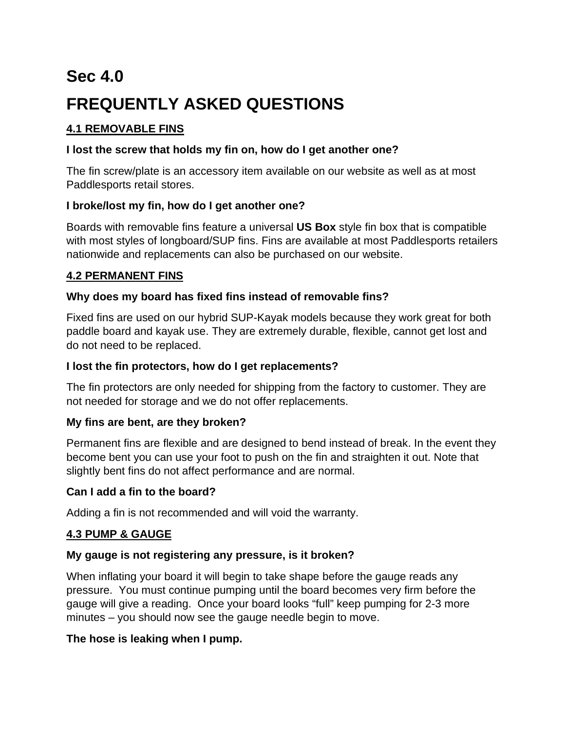## **Sec 4.0 FREQUENTLY ASKED QUESTIONS**

#### **4.1 REMOVABLE FINS**

#### **I lost the screw that holds my fin on, how do I get another one?**

The fin screw/plate is an accessory item available on our website as well as at most Paddlesports retail stores.

#### **I broke/lost my fin, how do I get another one?**

Boards with removable fins feature a universal **US Box** style fin box that is compatible with most styles of longboard/SUP fins. Fins are available at most Paddlesports retailers nationwide and replacements can also be purchased on our website.

#### **4.2 PERMANENT FINS**

#### **Why does my board has fixed fins instead of removable fins?**

Fixed fins are used on our hybrid SUP-Kayak models because they work great for both paddle board and kayak use. They are extremely durable, flexible, cannot get lost and do not need to be replaced.

#### **I lost the fin protectors, how do I get replacements?**

The fin protectors are only needed for shipping from the factory to customer. They are not needed for storage and we do not offer replacements.

#### **My fins are bent, are they broken?**

Permanent fins are flexible and are designed to bend instead of break. In the event they become bent you can use your foot to push on the fin and straighten it out. Note that slightly bent fins do not affect performance and are normal.

#### **Can I add a fin to the board?**

Adding a fin is not recommended and will void the warranty.

#### **4.3 PUMP & GAUGE**

#### **My gauge is not registering any pressure, is it broken?**

When inflating your board it will begin to take shape before the gauge reads any pressure. You must continue pumping until the board becomes very firm before the gauge will give a reading. Once your board looks "full" keep pumping for 2-3 more minutes – you should now see the gauge needle begin to move.

#### **The hose is leaking when I pump.**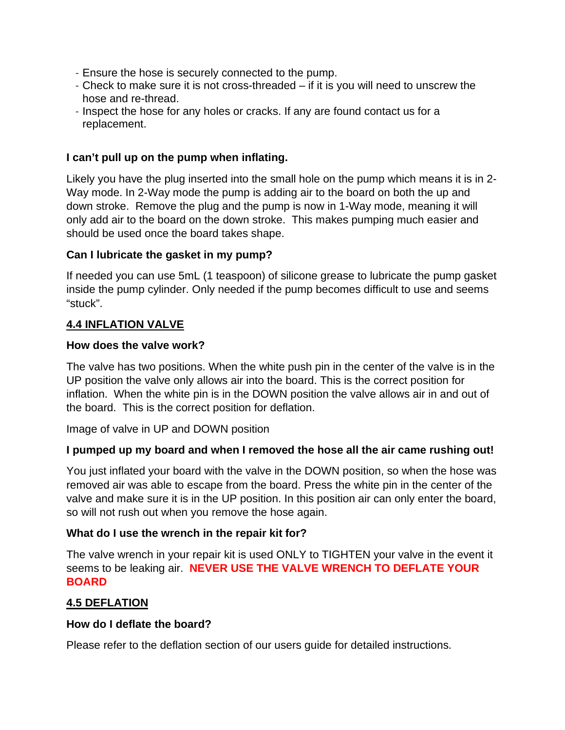- Ensure the hose is securely connected to the pump.
- Check to make sure it is not cross-threaded if it is you will need to unscrew the hose and re-thread.
- Inspect the hose for any holes or cracks. If any are found contact us for a replacement.

#### **I can't pull up on the pump when inflating.**

Likely you have the plug inserted into the small hole on the pump which means it is in 2- Way mode. In 2-Way mode the pump is adding air to the board on both the up and down stroke. Remove the plug and the pump is now in 1-Way mode, meaning it will only add air to the board on the down stroke. This makes pumping much easier and should be used once the board takes shape.

#### **Can I lubricate the gasket in my pump?**

If needed you can use 5mL (1 teaspoon) of silicone grease to lubricate the pump gasket inside the pump cylinder. Only needed if the pump becomes difficult to use and seems "stuck".

#### **4.4 INFLATION VALVE**

#### **How does the valve work?**

The valve has two positions. When the white push pin in the center of the valve is in the UP position the valve only allows air into the board. This is the correct position for inflation. When the white pin is in the DOWN position the valve allows air in and out of the board. This is the correct position for deflation.

Image of valve in UP and DOWN position

#### **I pumped up my board and when I removed the hose all the air came rushing out!**

You just inflated your board with the valve in the DOWN position, so when the hose was removed air was able to escape from the board. Press the white pin in the center of the valve and make sure it is in the UP position. In this position air can only enter the board, so will not rush out when you remove the hose again.

#### **What do I use the wrench in the repair kit for?**

The valve wrench in your repair kit is used ONLY to TIGHTEN your valve in the event it seems to be leaking air. **NEVER USE THE VALVE WRENCH TO DEFLATE YOUR BOARD**

#### **4.5 DEFLATION**

#### **How do I deflate the board?**

Please refer to the deflation section of our users guide for detailed instructions.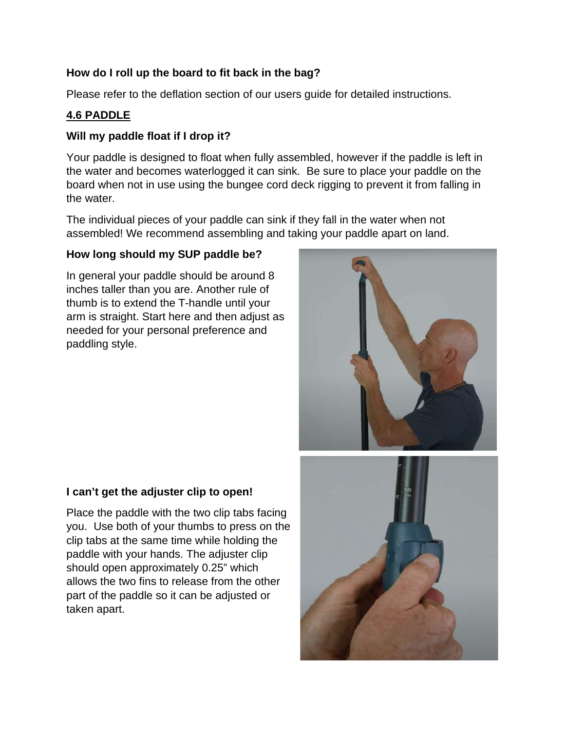#### **How do I roll up the board to fit back in the bag?**

Please refer to the deflation section of our users guide for detailed instructions.

#### **4.6 PADDLE**

#### **Will my paddle float if I drop it?**

Your paddle is designed to float when fully assembled, however if the paddle is left in the water and becomes waterlogged it can sink. Be sure to place your paddle on the board when not in use using the bungee cord deck rigging to prevent it from falling in the water.

The individual pieces of your paddle can sink if they fall in the water when not assembled! We recommend assembling and taking your paddle apart on land.

#### **How long should my SUP paddle be?**

In general your paddle should be around 8 inches taller than you are. Another rule of thumb is to extend the T-handle until your arm is straight. Start here and then adjust as needed for your personal preference and paddling style.



#### **I can't get the adjuster clip to open!**

Place the paddle with the two clip tabs facing you. Use both of your thumbs to press on the clip tabs at the same time while holding the paddle with your hands. The adjuster clip should open approximately 0.25" which allows the two fins to release from the other part of the paddle so it can be adjusted or taken apart.

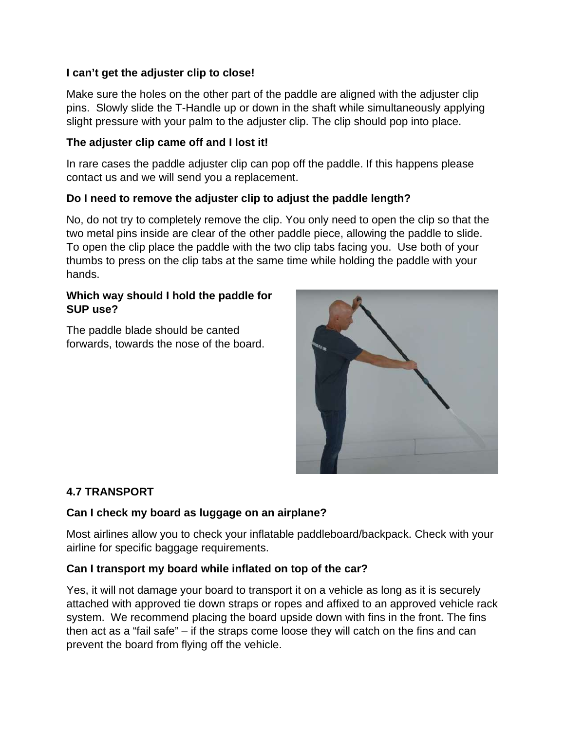#### **I can't get the adjuster clip to close!**

Make sure the holes on the other part of the paddle are aligned with the adjuster clip pins. Slowly slide the T-Handle up or down in the shaft while simultaneously applying slight pressure with your palm to the adjuster clip. The clip should pop into place.

#### **The adjuster clip came off and I lost it!**

In rare cases the paddle adjuster clip can pop off the paddle. If this happens please contact us and we will send you a replacement.

#### **Do I need to remove the adjuster clip to adjust the paddle length?**

No, do not try to completely remove the clip. You only need to open the clip so that the two metal pins inside are clear of the other paddle piece, allowing the paddle to slide. To open the clip place the paddle with the two clip tabs facing you. Use both of your thumbs to press on the clip tabs at the same time while holding the paddle with your hands.

#### **Which way should I hold the paddle for SUP use?**

The paddle blade should be canted forwards, towards the nose of the board.



#### **4.7 TRANSPORT**

#### **Can I check my board as luggage on an airplane?**

Most airlines allow you to check your inflatable paddleboard/backpack. Check with your airline for specific baggage requirements.

#### **Can I transport my board while inflated on top of the car?**

Yes, it will not damage your board to transport it on a vehicle as long as it is securely attached with approved tie down straps or ropes and affixed to an approved vehicle rack system. We recommend placing the board upside down with fins in the front. The fins then act as a "fail safe" – if the straps come loose they will catch on the fins and can prevent the board from flying off the vehicle.